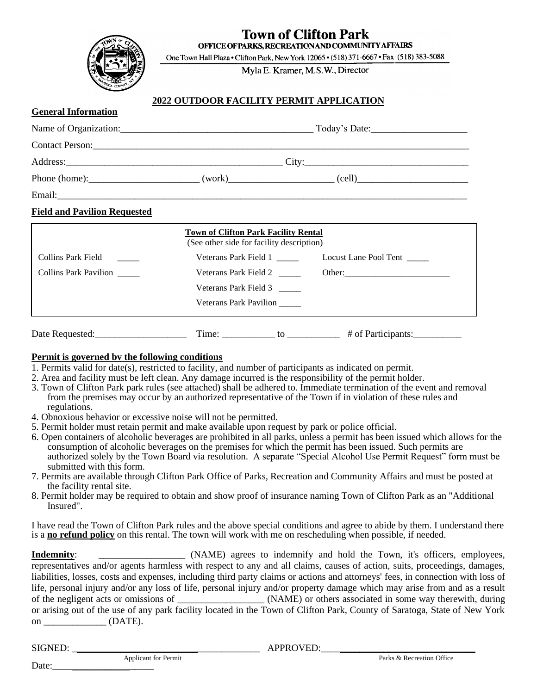# **Town of Clifton Park**

OFFICE OF PARKS, RECREATION AND COMMUNITY AFFAIRS One Town Hall Plaza • Clifton Park, New York 12065 • (518) 371-6667 • Fax: (518) 383-5088



**General Information**

Myla E. Kramer, M.S.W., Director

## **2022 OUTDOOR FACILITY PERMIT APPLICATION**

| <b>Field and Pavilion Requested</b> |                                                                                          |                                                                                                                                                                                                                                |                       |  |
|-------------------------------------|------------------------------------------------------------------------------------------|--------------------------------------------------------------------------------------------------------------------------------------------------------------------------------------------------------------------------------|-----------------------|--|
|                                     | <b>Town of Clifton Park Facility Rental</b><br>(See other side for facility description) |                                                                                                                                                                                                                                |                       |  |
| Collins Park Field _______          | Veterans Park Field 1                                                                    |                                                                                                                                                                                                                                | Locust Lane Pool Tent |  |
| <b>Collins Park Pavilion</b>        | Veterans Park Field 2                                                                    |                                                                                                                                                                                                                                |                       |  |
|                                     | Veterans Park Field 3                                                                    |                                                                                                                                                                                                                                |                       |  |
|                                     | <b>Veterans Park Pavilion</b>                                                            |                                                                                                                                                                                                                                |                       |  |
| Date Requested:                     | Time:                                                                                    | to to the contract of the contract of the contract of the contract of the contract of the contract of the contract of the contract of the contract of the contract of the contract of the contract of the contract of the cont | # of Participants:    |  |

## **Permit is governed bv the following conditions**

- 1. Permits valid for date(s), restricted to facility, and number of participants as indicated on permit.
- 2. Area and facility must be left clean. Any damage incurred is the responsibility of the permit holder.
- 3. Town of Clifton Park park rules (see attached) shall be adhered to. Immediate termination of the event and removal from the premises may occur by an authorized representative of the Town if in violation of these rules and regulations.
- 4. Obnoxious behavior or excessive noise will not be permitted.
- 5. Permit holder must retain permit and make available upon request by park or police official.
- 6. Open containers of alcoholic beverages are prohibited in all parks, unless a permit has been issued which allows for the consumption of alcoholic beverages on the premises for which the permit has been issued. Such permits are authorized solely by the Town Board via resolution. A separate "Special Alcohol Use Permit Request" form must be submitted with this form.
- 7. Permits are available through Clifton Park Office of Parks, Recreation and Community Affairs and must be posted at the facility rental site.
- 8. Permit holder may be required to obtain and show proof of insurance naming Town of Clifton Park as an "Additional Insured".

I have read the Town of Clifton Park rules and the above special conditions and agree to abide by them. I understand there is a **no refund policy** on this rental. The town will work with me on rescheduling when possible, if needed.

**Indemnity**: \_\_\_\_\_\_\_\_\_\_\_\_\_\_\_\_\_\_\_\_ (NAME) agrees to indemnify and hold the Town, it's officers, employees, representatives and/or agents harmless with respect to any and all claims, causes of action, suits, proceedings, damages, liabilities, losses, costs and expenses, including third party claims or actions and attorneys' fees, in connection with loss of life, personal injury and/or any loss of life, personal injury and/or property damage which may arise from and as a result of the negligent acts or omissions of \_\_\_\_\_\_\_\_\_\_\_\_\_\_\_\_\_\_ (NAME) or others associated in some way therewith, during or arising out of the use of any park facility located in the Town of Clifton Park, County of Saratoga, State of New York on \_\_\_\_\_\_\_\_\_\_\_\_\_ (DATE).

Date:

| SIGNED: |                             | <b>APPROVED:</b> |
|---------|-----------------------------|------------------|
|         | <b>Applicant for Permit</b> |                  |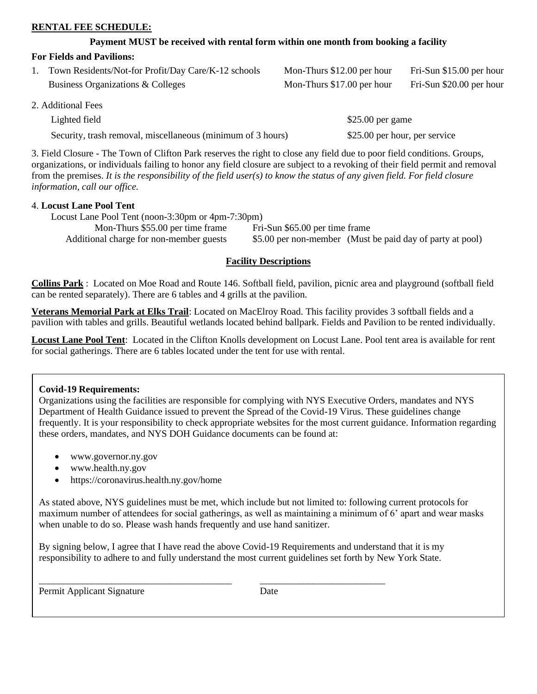## **RENTAL FEE SCHEDULE:**

## **Payment MUST be received with rental form within one month from booking a facility**

#### **For Fields and Pavilions:**

| Town Residents/Not-for Profit/Day Care/K-12 schools | Mon-Thurs \$12.00 per hour | Fri-Sun $$15.00$ per hour |
|-----------------------------------------------------|----------------------------|---------------------------|
| Business Organizations & Colleges                   | Mon-Thurs \$17.00 per hour | Fri-Sun \$20.00 per hour  |

2. Additional Fees

Lighted field \$25.00 per game \$25.00 per game

Security, trash removal, miscellaneous (minimum of 3 hours) \$25.00 per hour, per service

3. Field Closure - The Town of Clifton Park reserves the right to close any field due to poor field conditions. Groups, organizations, or individuals failing to honor any field closure are subject to a revoking of their field permit and removal from the premises. *It is the responsibility of the field user(s) to know the status of any given field. For field closure information, call our office.*

## 4. **Locust Lane Pool Tent**

 Locust Lane Pool Tent (noon-3:30pm or 4pm-7:30pm) Mon-Thurs \$55.00 per time frame Fri-Sun \$65.00 per time frame Additional charge for non-member guests \$5.00 per non-member (Must be paid day of party at pool)

## **Facility Descriptions**

**Collins Park** : Located on Moe Road and Route 146. Softball field, pavilion, picnic area and playground (softball field can be rented separately). There are 6 tables and 4 grills at the pavilion.

**Veterans Memorial Park at Elks Trail**: Located on MacElroy Road. This facility provides 3 softball fields and a pavilion with tables and grills. Beautiful wetlands located behind ballpark. Fields and Pavilion to be rented individually.

**Locust Lane Pool Tent**: Located in the Clifton Knolls development on Locust Lane. Pool tent area is available for rent for social gatherings. There are 6 tables located under the tent for use with rental.

## **Covid-19 Requirements:**

Organizations using the facilities are responsible for complying with NYS Executive Orders, mandates and NYS Department of Health Guidance issued to prevent the Spread of the Covid-19 Virus. These guidelines change frequently. It is your responsibility to check appropriate websites for the most current guidance. Information regarding these orders, mandates, and NYS DOH Guidance documents can be found at:

- www.governor.ny.gov
- www.health.ny.gov
- https://coronavirus.health.ny.gov/home

As stated above, NYS guidelines must be met, which include but not limited to: following current protocols for maximum number of attendees for social gatherings, as well as maintaining a minimum of 6' apart and wear masks when unable to do so. Please wash hands frequently and use hand sanitizer.

By signing below, I agree that I have read the above Covid-19 Requirements and understand that it is my responsibility to adhere to and fully understand the most current guidelines set forth by New York State.

\_\_\_\_\_\_\_\_\_\_\_\_\_\_\_\_\_\_\_\_\_\_\_\_\_\_\_\_\_\_\_\_\_\_\_\_\_\_\_\_ \_\_\_\_\_\_\_\_\_\_\_\_\_\_\_\_\_\_\_\_\_\_\_\_\_\_

Permit Applicant Signature Date